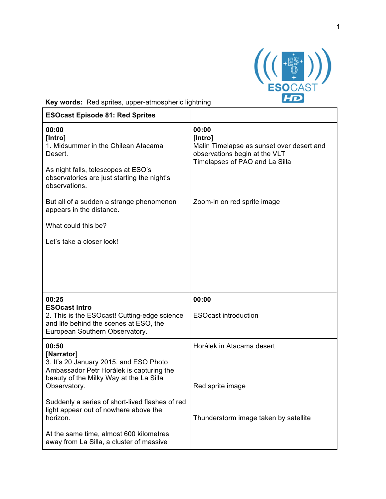

**Key words:** Red sprites, upper-atmospheric lightning

| <b>ESOcast Episode 81: Red Sprites</b>                                                               |                                                                                                                                  |
|------------------------------------------------------------------------------------------------------|----------------------------------------------------------------------------------------------------------------------------------|
| 00:00<br>[Intro]<br>1. Midsummer in the Chilean Atacama<br>Desert.                                   | 00:00<br>[Intro]<br>Malin Timelapse as sunset over desert and<br>observations begin at the VLT<br>Timelapses of PAO and La Silla |
| As night falls, telescopes at ESO's<br>observatories are just starting the night's<br>observations.  |                                                                                                                                  |
| But all of a sudden a strange phenomenon<br>appears in the distance.                                 | Zoom-in on red sprite image                                                                                                      |
| What could this be?                                                                                  |                                                                                                                                  |
| Let's take a closer look!                                                                            |                                                                                                                                  |
|                                                                                                      |                                                                                                                                  |
|                                                                                                      |                                                                                                                                  |
|                                                                                                      |                                                                                                                                  |
| 00:25<br><b>ESOcast intro</b>                                                                        | 00:00                                                                                                                            |
| 2. This is the ESOcast! Cutting-edge science<br>and life behind the scenes at ESO, the               | <b>ESOcast introduction</b>                                                                                                      |
| European Southern Observatory.                                                                       |                                                                                                                                  |
| 00:50<br>[Narrator]                                                                                  | Horálek in Atacama desert                                                                                                        |
| 3. It's 20 January 2015, and ESO Photo<br>Ambassador Petr Horálek is capturing the                   |                                                                                                                                  |
| beauty of the Milky Way at the La Silla                                                              |                                                                                                                                  |
| Observatory.                                                                                         | Red sprite image                                                                                                                 |
| Suddenly a series of short-lived flashes of red<br>light appear out of nowhere above the<br>horizon. | Thunderstorm image taken by satellite                                                                                            |
| At the same time, almost 600 kilometres<br>away from La Silla, a cluster of massive                  |                                                                                                                                  |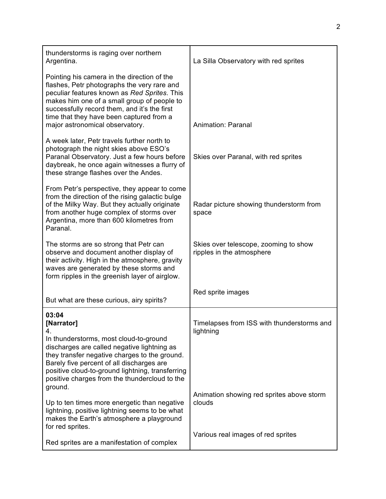| thunderstorms is raging over northern<br>Argentina.                                                                                                                                                                                                                                                                      | La Silla Observatory with red sprites                              |
|--------------------------------------------------------------------------------------------------------------------------------------------------------------------------------------------------------------------------------------------------------------------------------------------------------------------------|--------------------------------------------------------------------|
| Pointing his camera in the direction of the<br>flashes, Petr photographs the very rare and<br>peculiar features known as Red Sprites. This<br>makes him one of a small group of people to<br>successfully record them, and it's the first<br>time that they have been captured from a<br>major astronomical observatory. | Animation: Paranal                                                 |
| A week later, Petr travels further north to<br>photograph the night skies above ESO's<br>Paranal Observatory. Just a few hours before<br>daybreak, he once again witnesses a flurry of<br>these strange flashes over the Andes.                                                                                          | Skies over Paranal, with red sprites                               |
| From Petr's perspective, they appear to come<br>from the direction of the rising galactic bulge<br>of the Milky Way. But they actually originate<br>from another huge complex of storms over<br>Argentina, more than 600 kilometres from<br>Paranal.                                                                     | Radar picture showing thunderstorm from<br>space                   |
| The storms are so strong that Petr can<br>observe and document another display of<br>their activity. High in the atmosphere, gravity<br>waves are generated by these storms and<br>form ripples in the greenish layer of airglow.                                                                                        | Skies over telescope, zooming to show<br>ripples in the atmosphere |
| But what are these curious, airy spirits?                                                                                                                                                                                                                                                                                | Red sprite images                                                  |
| 03:04<br>[Narrator]<br>4.<br>In thunderstorms, most cloud-to-ground<br>discharges are called negative lightning as<br>they transfer negative charges to the ground.<br>Barely five percent of all discharges are                                                                                                         | Timelapses from ISS with thunderstorms and<br>lightning            |
| positive cloud-to-ground lightning, transferring<br>positive charges from the thundercloud to the<br>ground.<br>Up to ten times more energetic than negative<br>lightning, positive lightning seems to be what<br>makes the Earth's atmosphere a playground                                                              | Animation showing red sprites above storm<br>clouds                |
| for red sprites.<br>Red sprites are a manifestation of complex                                                                                                                                                                                                                                                           | Various real images of red sprites                                 |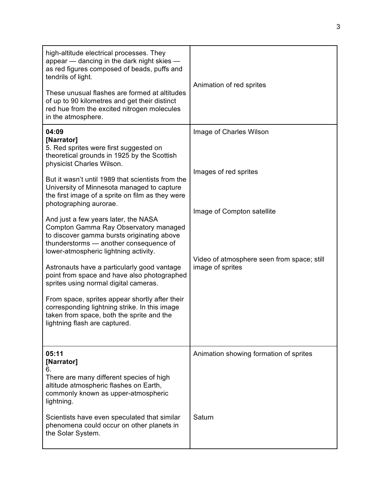| high-altitude electrical processes. They<br>appear - dancing in the dark night skies -<br>as red figures composed of beads, puffs and<br>tendrils of light.<br>These unusual flashes are formed at altitudes<br>of up to 90 kilometres and get their distinct                                    | Animation of red sprites                                       |
|--------------------------------------------------------------------------------------------------------------------------------------------------------------------------------------------------------------------------------------------------------------------------------------------------|----------------------------------------------------------------|
| red hue from the excited nitrogen molecules<br>in the atmosphere.                                                                                                                                                                                                                                |                                                                |
| 04:09<br>[Narrator]<br>5. Red sprites were first suggested on<br>theoretical grounds in 1925 by the Scottish<br>physicist Charles Wilson.<br>But it wasn't until 1989 that scientists from the<br>University of Minnesota managed to capture<br>the first image of a sprite on film as they were | Image of Charles Wilson<br>Images of red sprites               |
| photographing aurorae.                                                                                                                                                                                                                                                                           | Image of Compton satellite                                     |
| And just a few years later, the NASA<br>Compton Gamma Ray Observatory managed<br>to discover gamma bursts originating above<br>thunderstorms - another consequence of<br>lower-atmospheric lightning activity.                                                                                   |                                                                |
| Astronauts have a particularly good vantage<br>point from space and have also photographed<br>sprites using normal digital cameras.                                                                                                                                                              | Video of atmosphere seen from space; still<br>image of sprites |
| From space, sprites appear shortly after their<br>corresponding lightning strike. In this image<br>taken from space, both the sprite and the<br>lightning flash are captured.                                                                                                                    |                                                                |
| 05:11                                                                                                                                                                                                                                                                                            | Animation showing formation of sprites                         |
| [Narrator]<br>6.                                                                                                                                                                                                                                                                                 |                                                                |
| There are many different species of high<br>altitude atmospheric flashes on Earth,<br>commonly known as upper-atmospheric<br>lightning.                                                                                                                                                          |                                                                |
| Scientists have even speculated that similar<br>phenomena could occur on other planets in<br>the Solar System.                                                                                                                                                                                   | Saturn                                                         |